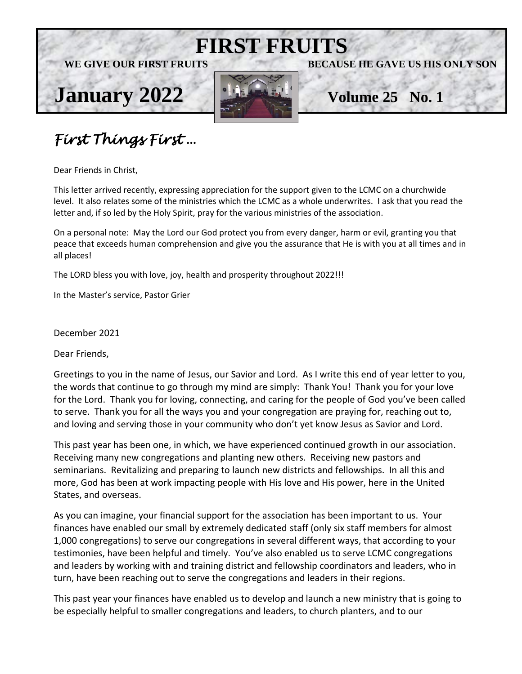





**FIRST FRUITS**

## *First Things First* …

Dear Friends in Christ,

This letter arrived recently, expressing appreciation for the support given to the LCMC on a churchwide level. It also relates some of the ministries which the LCMC as a whole underwrites. I ask that you read the letter and, if so led by the Holy Spirit, pray for the various ministries of the association.

On a personal note: May the Lord our God protect you from every danger, harm or evil, granting you that peace that exceeds human comprehension and give you the assurance that He is with you at all times and in all places!

The LORD bless you with love, joy, health and prosperity throughout 2022!!!

In the Master's service, Pastor Grier

December 2021

Dear Friends,

Greetings to you in the name of Jesus, our Savior and Lord. As I write this end of year letter to you, the words that continue to go through my mind are simply: Thank You! Thank you for your love for the Lord. Thank you for loving, connecting, and caring for the people of God you've been called to serve. Thank you for all the ways you and your congregation are praying for, reaching out to, and loving and serving those in your community who don't yet know Jesus as Savior and Lord.

This past year has been one, in which, we have experienced continued growth in our association. Receiving many new congregations and planting new others. Receiving new pastors and seminarians. Revitalizing and preparing to launch new districts and fellowships. In all this and more, God has been at work impacting people with His love and His power, here in the United States, and overseas.

As you can imagine, your financial support for the association has been important to us. Your finances have enabled our small by extremely dedicated staff (only six staff members for almost 1,000 congregations) to serve our congregations in several different ways, that according to your testimonies, have been helpful and timely. You've also enabled us to serve LCMC congregations and leaders by working with and training district and fellowship coordinators and leaders, who in turn, have been reaching out to serve the congregations and leaders in their regions.

This past year your finances have enabled us to develop and launch a new ministry that is going to be especially helpful to smaller congregations and leaders, to church planters, and to our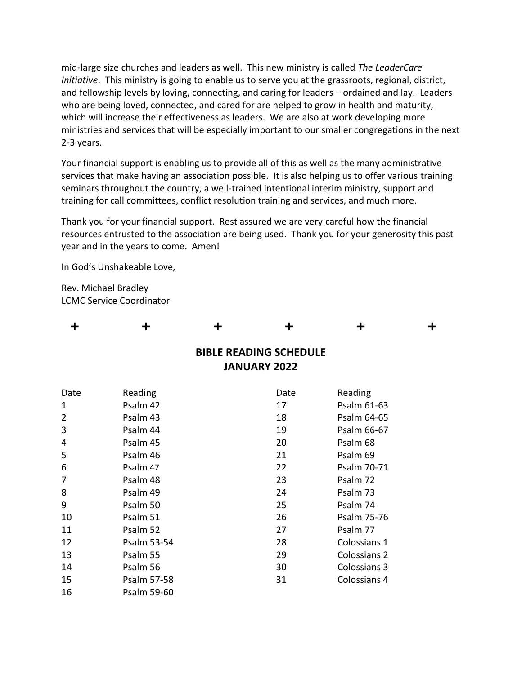mid-large size churches and leaders as well. This new ministry is called *The LeaderCare Initiative*. This ministry is going to enable us to serve you at the grassroots, regional, district, and fellowship levels by loving, connecting, and caring for leaders – ordained and lay. Leaders who are being loved, connected, and cared for are helped to grow in health and maturity, which will increase their effectiveness as leaders. We are also at work developing more ministries and services that will be especially important to our smaller congregations in the next 2-3 years.

Your financial support is enabling us to provide all of this as well as the many administrative services that make having an association possible. It is also helping us to offer various training seminars throughout the country, a well-trained intentional interim ministry, support and training for call committees, conflict resolution training and services, and much more.

Thank you for your financial support. Rest assured we are very careful how the financial resources entrusted to the association are being used. Thank you for your generosity this past year and in the years to come. Amen!

In God's Unshakeable Love,

Rev. Michael Bradley LCMC Service Coordinator

| ╈              | ╈           | ╈ | ╈                                                    | ╋            | ╈ |
|----------------|-------------|---|------------------------------------------------------|--------------|---|
|                |             |   | <b>BIBLE READING SCHEDULE</b><br><b>JANUARY 2022</b> |              |   |
| Date           | Reading     |   | Date                                                 | Reading      |   |
| $\mathbf 1$    | Psalm 42    |   | 17                                                   | Psalm 61-63  |   |
| $\overline{2}$ | Psalm 43    |   | 18                                                   | Psalm 64-65  |   |
| 3              | Psalm 44    |   | 19                                                   | Psalm 66-67  |   |
| 4              | Psalm 45    |   | 20                                                   | Psalm 68     |   |
| 5              | Psalm 46    |   | 21                                                   | Psalm 69     |   |
| 6              | Psalm 47    |   | 22                                                   | Psalm 70-71  |   |
| 7              | Psalm 48    |   | 23                                                   | Psalm 72     |   |
| 8              | Psalm 49    |   | 24                                                   | Psalm 73     |   |
| 9              | Psalm 50    |   | 25                                                   | Psalm 74     |   |
| 10             | Psalm 51    |   | 26                                                   | Psalm 75-76  |   |
| 11             | Psalm 52    |   | 27                                                   | Psalm 77     |   |
| 12             | Psalm 53-54 |   | 28                                                   | Colossians 1 |   |
| 13             | Psalm 55    |   | 29                                                   | Colossians 2 |   |
| 14             | Psalm 56    |   | 30                                                   | Colossians 3 |   |
| 15             | Psalm 57-58 |   | 31                                                   | Colossians 4 |   |
| 16             | Psalm 59-60 |   |                                                      |              |   |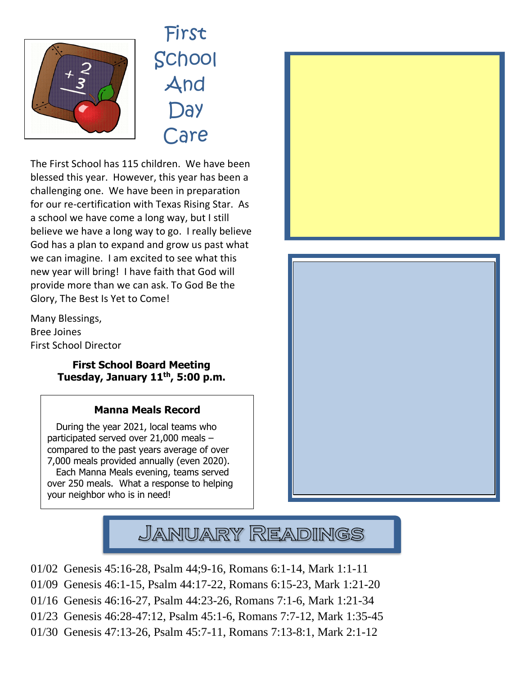

First School And **Day** Care

The First School has 115 children. We have been blessed this year. However, this year has been a challenging one. We have been in preparation for our re-certification with Texas Rising Star. As a school we have come a long way, but I still believe we have a long way to go. I really believe God has a plan to expand and grow us past what we can imagine. I am excited to see what this new year will bring! I have faith that God will provide more than we can ask. To God Be the Glory, The Best Is Yet to Come!

Many Blessings, Bree Joines First School Director

 $\overline{a}$ 

## **First School Board Meeting Tuesday, January 11 th, 5:00 p.m.**

## **Manna Meals Record**

 During the year 2021, local teams who participated served over 21,000 meals – compared to the past years average of over 7,000 meals provided annually (even 2020). Each Manna Meals evening, teams served over 250 meals. What a response to helping your neighbor who is in need!







- 01/02 Genesis 45:16-28, Psalm 44;9-16, Romans 6:1-14, Mark 1:1-11
- 01/09 Genesis 46:1-15, Psalm 44:17-22, Romans 6:15-23, Mark 1:21-20
- 01/16 Genesis 46:16-27, Psalm 44:23-26, Romans 7:1-6, Mark 1:21-34
- 01/23 Genesis 46:28-47:12, Psalm 45:1-6, Romans 7:7-12, Mark 1:35-45
- 01/30 Genesis 47:13-26, Psalm 45:7-11, Romans 7:13-8:1, Mark 2:1-12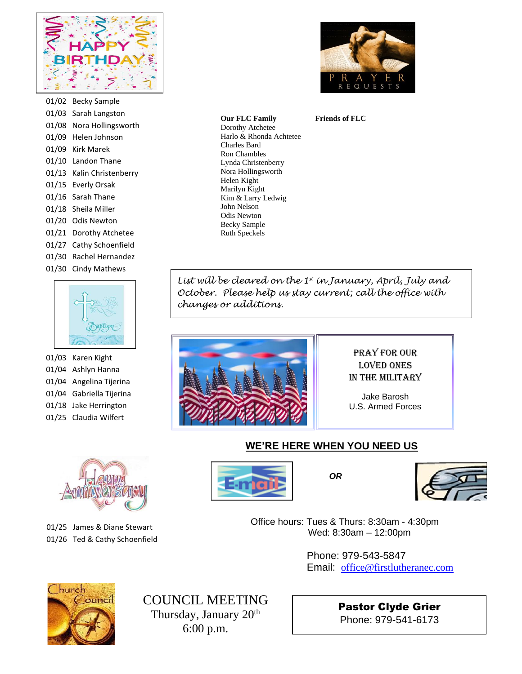

01/02 Becky Sample 01/03 Sarah Langston 01/08 Nora Hollingsworth 01/09 Helen Johnson 01/09 Kirk Marek 01/10 Landon Thane 01/13 Kalin Christenberry 01/15 Everly Orsak 01/16 Sarah Thane 01/18 Sheila Miller 01/20 Odis Newton 01/21 Dorothy Atchetee 01/27 Cathy Schoenfield 01/30 Rachel Hernandez 01/30 Cindy Mathews



01/03 Karen Kight 01/04 Ashlyn Hanna 01/04 Angelina Tijerina 01/04 Gabriella Tijerina 01/18 Jake Herrington 01/25 Claudia Wilfert



01/25 James & Diane Stewart 01/26 Ted & Cathy Schoenfield



**Friends of FLC**

*List will be cleared on the 1st in January, April, July and October. Please help us stay current; call the office with*  Ruth Speckels



*changes or additions.*

Harlo & Rhonda Achtetee

**Our FLC Family** Dorothy Atchetee

Charles Bard Ron Chambles Lynda Christenberry Nora Hollingsworth Helen Kight Marilyn Kight Kim & Larry Ledwig John Nelson Odis Newton Becky Sample

> Pray for our loved ones In the Military

Jake Barosh U.S. Armed Forces

## **WE'RE HERE WHEN YOU NEED US**





 Office hours: Tues & Thurs: 8:30am - 4:30pm Wed: 8:30am – 12:00pm

> Phone: 979-543-5847 Email: [office@firstlutheranec.com](mailto:office@firstlutheranec.com)



COUNCIL MEETING Thursday, January 20<sup>th</sup> 6:00 p.m.

Pastor Clyde Grier Phone: 979-541-6173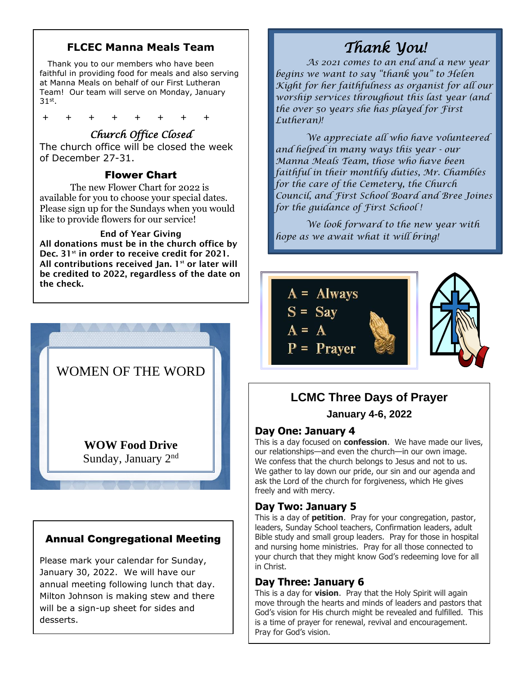## **FLCEC Manna Meals Team**

 Thank you to our members who have been faithful in providing food for meals and also serving at Manna Meals on behalf of our First Lutheran Team! Our team will serve on Monday, January  $31^\mathrm{st}$ .

+ + + + + + + +

## *Church Office Closed*

The church office will be closed the week of December 27-31.

### Flower Chart

The new Flower Chart for 2022 is available for you to choose your special dates. Please sign up for the Sundays when you would like to provide flowers for our service!

#### End of Year Giving

All donations must be in the church office by Dec. 31<sup>st</sup> in order to receive credit for 2021. All contributions received Jan.  $1<sup>st</sup>$  or later will be credited to 2022, regardless of the date on the check.



## Annual Congregational Meeting

Please mark your calendar for Sunday, January 30, 2022. We will have our annual meeting following lunch that day. Milton Johnson is making stew and there will be a sign-up sheet for sides and desserts.

# *Thank You!*

*As 2021 comes to an end and a new year begins we want to say "thank you" to Helen Kight for her faithfulness as organist for all our worship services throughout this last year (and the over 50 years she has played for First Lutheran)!* 

 *and helped in many ways this year - our Manna Meals Team, those who have been faithful in their monthly duties, Mr. Chambles for the care of the Cemetery, the Church We appreciate all who have volunteered Council, and First School Board and Bree Joines for the guidance of First School !* 

*We look forward to the new year with hope as we await what it will bring!* 



## **LCMC Three Days of Prayer January 4-6, 2022**

## **Day One: January 4**

This is a day focused on **confession**. We have made our lives, our relationships—and even the church—in our own image. We confess that the church belongs to Jesus and not to us. We gather to lay down our pride, our sin and our agenda and ask the Lord of the church for forgiveness, which He gives freely and with mercy.

## **Day Two: January 5**

This is a day of **petition**. Pray for your congregation, pastor, leaders, Sunday School teachers, Confirmation leaders, adult Bible study and small group leaders. Pray for those in hospital and nursing home ministries. Pray for all those connected to your church that they might know God's redeeming love for all in Christ.

## **Day Three: January 6**

This is a day for **vision**. Pray that the Holy Spirit will again move through the hearts and minds of leaders and pastors that God's vision for His church might be revealed and fulfilled. This is a time of prayer for renewal, revival and encouragement. Pray for God's vision.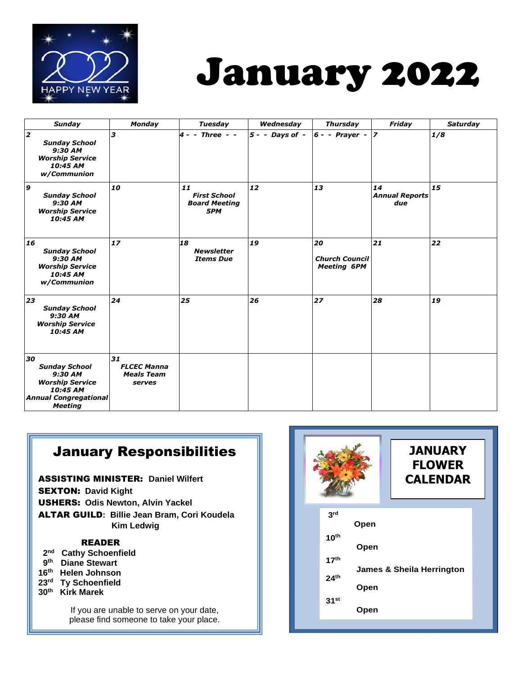

# January 2022

| <b>Sunday</b>                                                                                                                 | <b>Monday</b>                                           | <b>Tuesday</b>                                           | Wednesday         | <b>Thursday</b>                                   | Friday                             | <b>Saturday</b> |
|-------------------------------------------------------------------------------------------------------------------------------|---------------------------------------------------------|----------------------------------------------------------|-------------------|---------------------------------------------------|------------------------------------|-----------------|
| 2<br><b>Sunday School</b><br>9:30 AM<br><b>Worship Service</b><br>10:45 AM<br>w/Communion                                     | 3                                                       | $4 -$ - Three - -                                        | $5 - -$ Days of - | $6 -$ - Prayer -                                  | $\overline{z}$                     | 1/8             |
| 9<br><b>Sunday School</b><br>9:30 AM<br><b>Worship Service</b><br>10:45 AM                                                    | 10                                                      | 11<br><b>First School</b><br><b>Board Meeting</b><br>5PM | 12                | 13                                                | 14<br><b>Annual Reports</b><br>due | 15              |
| 16<br><b>Sunday School</b><br>$9:30$ AM<br><b>Worship Service</b><br>10:45 AM<br>w/Communion                                  | 17                                                      | 18<br><b>Newsletter</b><br><b>Items Due</b>              | 19                | 20<br><b>Church Council</b><br><b>Meeting 6PM</b> | 21                                 | 22              |
| 23<br><b>Sunday School</b><br>9:30 AM<br><b>Worship Service</b><br>10:45 AM                                                   | 24                                                      | 25                                                       | 26                | 27                                                | 28                                 | 19              |
| 30<br><b>Sunday School</b><br>9:30 AM<br><b>Worship Service</b><br>10:45 AM<br><b>Annual Congregational</b><br><b>Meeting</b> | 31<br><b>FLCEC Manna</b><br><b>Meals Team</b><br>serves |                                                          |                   |                                                   |                                    |                 |

## January Responsibilities

ASSISTING MINISTER: **Daniel Wilfert** SEXTON: **David Kight**  USHERS: **Odis Newton, Alvin Yackel**  ALTAR GUILD**: Billie Jean Bram, Cori Koudela Kim Ledwig**

#### READER

- **2 nd Cathy Schoenfield**
- **9 th Diane Stewart**
- **16 th Helen Johnson**
- **23 rd Ty Schoenfield**
- **30 th Kirk Marek**

If you are unable to serve on your date, please find someone to take your place.